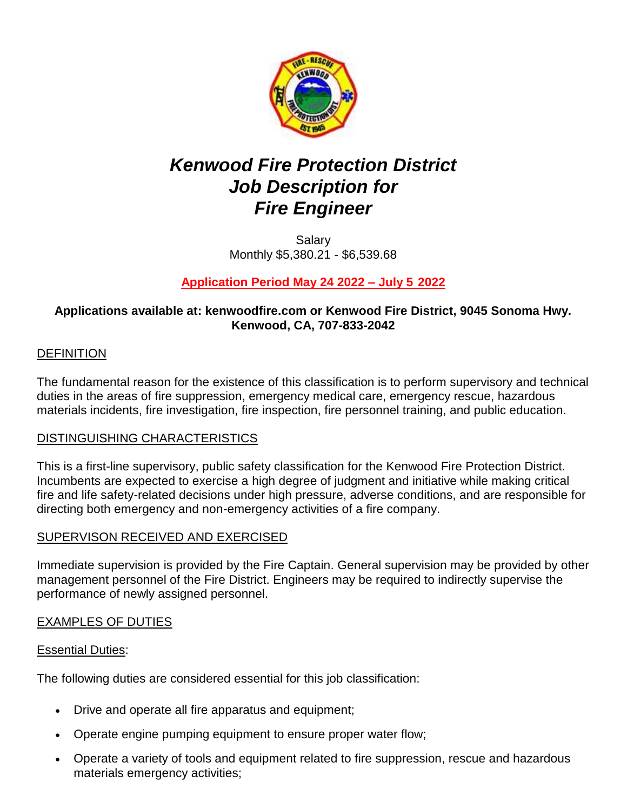

# *Kenwood Fire Protection District Job Description for Fire Engineer*

Salary Monthly \$5,380.21 - \$6,539.68

# **Application Period May 24 2022 – July 5 2022**

## **Applications available at: kenwoodfire.com or Kenwood Fire District, 9045 Sonoma Hwy. Kenwood, CA, 707-833-2042**

## DEFINITION

The fundamental reason for the existence of this classification is to perform supervisory and technical duties in the areas of fire suppression, emergency medical care, emergency rescue, hazardous materials incidents, fire investigation, fire inspection, fire personnel training, and public education.

#### DISTINGUISHING CHARACTERISTICS

This is a first-line supervisory, public safety classification for the Kenwood Fire Protection District. Incumbents are expected to exercise a high degree of judgment and initiative while making critical fire and life safety-related decisions under high pressure, adverse conditions, and are responsible for directing both emergency and non-emergency activities of a fire company.

#### SUPERVISON RECEIVED AND EXERCISED

Immediate supervision is provided by the Fire Captain. General supervision may be provided by other management personnel of the Fire District. Engineers may be required to indirectly supervise the performance of newly assigned personnel.

#### EXAMPLES OF DUTIES

#### Essential Duties:

The following duties are considered essential for this job classification:

- Drive and operate all fire apparatus and equipment;
- Operate engine pumping equipment to ensure proper water flow;
- Operate a variety of tools and equipment related to fire suppression, rescue and hazardous materials emergency activities;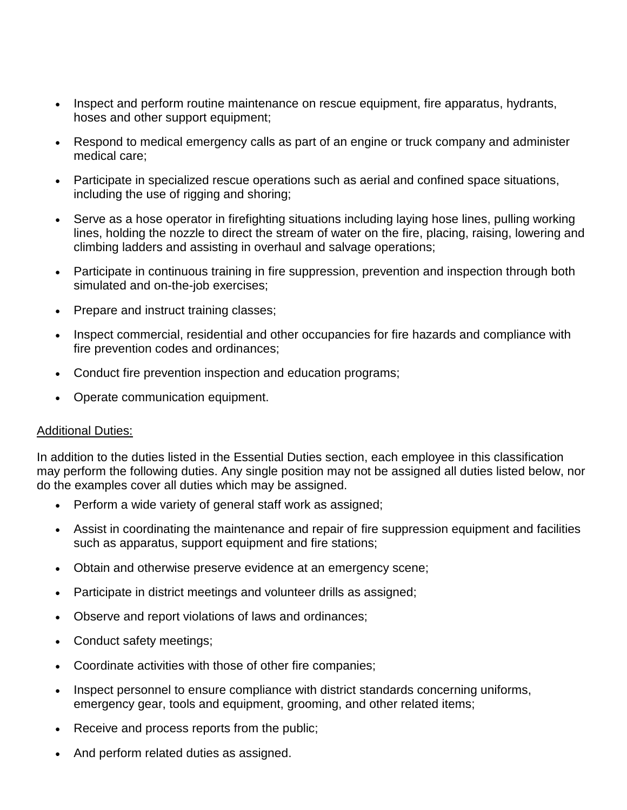- Inspect and perform routine maintenance on rescue equipment, fire apparatus, hydrants, hoses and other support equipment;
- Respond to medical emergency calls as part of an engine or truck company and administer medical care;
- Participate in specialized rescue operations such as aerial and confined space situations, including the use of rigging and shoring;
- Serve as a hose operator in firefighting situations including laying hose lines, pulling working lines, holding the nozzle to direct the stream of water on the fire, placing, raising, lowering and climbing ladders and assisting in overhaul and salvage operations;
- Participate in continuous training in fire suppression, prevention and inspection through both simulated and on-the-job exercises;
- Prepare and instruct training classes;
- Inspect commercial, residential and other occupancies for fire hazards and compliance with fire prevention codes and ordinances;
- Conduct fire prevention inspection and education programs;
- Operate communication equipment.

#### Additional Duties:

In addition to the duties listed in the Essential Duties section, each employee in this classification may perform the following duties. Any single position may not be assigned all duties listed below, nor do the examples cover all duties which may be assigned.

- Perform a wide variety of general staff work as assigned;
- Assist in coordinating the maintenance and repair of fire suppression equipment and facilities such as apparatus, support equipment and fire stations;
- Obtain and otherwise preserve evidence at an emergency scene;
- Participate in district meetings and volunteer drills as assigned;
- Observe and report violations of laws and ordinances;
- Conduct safety meetings;
- Coordinate activities with those of other fire companies;
- Inspect personnel to ensure compliance with district standards concerning uniforms, emergency gear, tools and equipment, grooming, and other related items;
- Receive and process reports from the public;
- And perform related duties as assigned.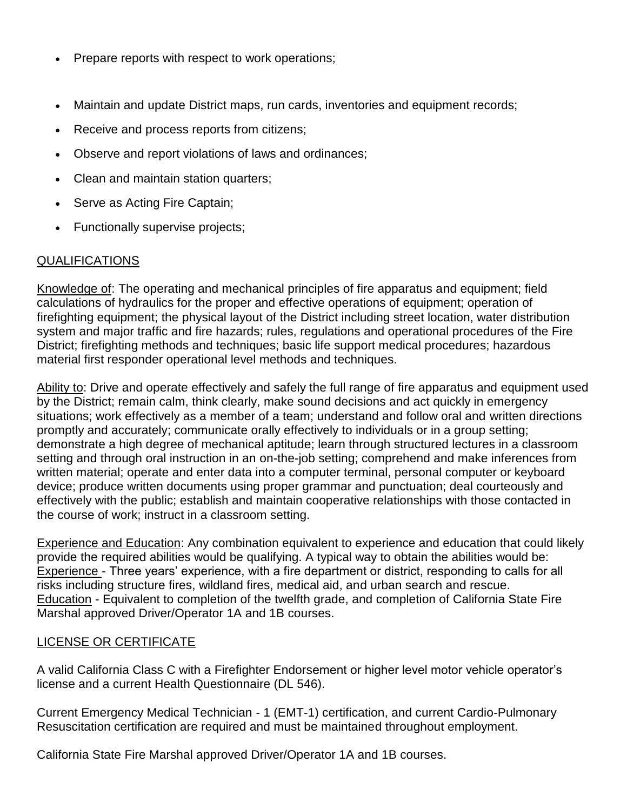- Prepare reports with respect to work operations;
- Maintain and update District maps, run cards, inventories and equipment records;
- Receive and process reports from citizens;
- Observe and report violations of laws and ordinances;
- Clean and maintain station quarters;
- Serve as Acting Fire Captain;
- Functionally supervise projects;

## QUALIFICATIONS

Knowledge of: The operating and mechanical principles of fire apparatus and equipment; field calculations of hydraulics for the proper and effective operations of equipment; operation of firefighting equipment; the physical layout of the District including street location, water distribution system and major traffic and fire hazards; rules, regulations and operational procedures of the Fire District; firefighting methods and techniques; basic life support medical procedures; hazardous material first responder operational level methods and techniques.

Ability to: Drive and operate effectively and safely the full range of fire apparatus and equipment used by the District; remain calm, think clearly, make sound decisions and act quickly in emergency situations; work effectively as a member of a team; understand and follow oral and written directions promptly and accurately; communicate orally effectively to individuals or in a group setting; demonstrate a high degree of mechanical aptitude; learn through structured lectures in a classroom setting and through oral instruction in an on-the-job setting; comprehend and make inferences from written material; operate and enter data into a computer terminal, personal computer or keyboard device; produce written documents using proper grammar and punctuation; deal courteously and effectively with the public; establish and maintain cooperative relationships with those contacted in the course of work; instruct in a classroom setting.

Experience and Education: Any combination equivalent to experience and education that could likely provide the required abilities would be qualifying. A typical way to obtain the abilities would be: Experience - Three years' experience, with a fire department or district, responding to calls for all risks including structure fires, wildland fires, medical aid, and urban search and rescue. Education - Equivalent to completion of the twelfth grade, and completion of California State Fire Marshal approved Driver/Operator 1A and 1B courses.

## LICENSE OR CERTIFICATE

A valid California Class C with a Firefighter Endorsement or higher level motor vehicle operator's license and a current Health Questionnaire (DL 546).

Current Emergency Medical Technician - 1 (EMT-1) certification, and current Cardio-Pulmonary Resuscitation certification are required and must be maintained throughout employment.

California State Fire Marshal approved Driver/Operator 1A and 1B courses.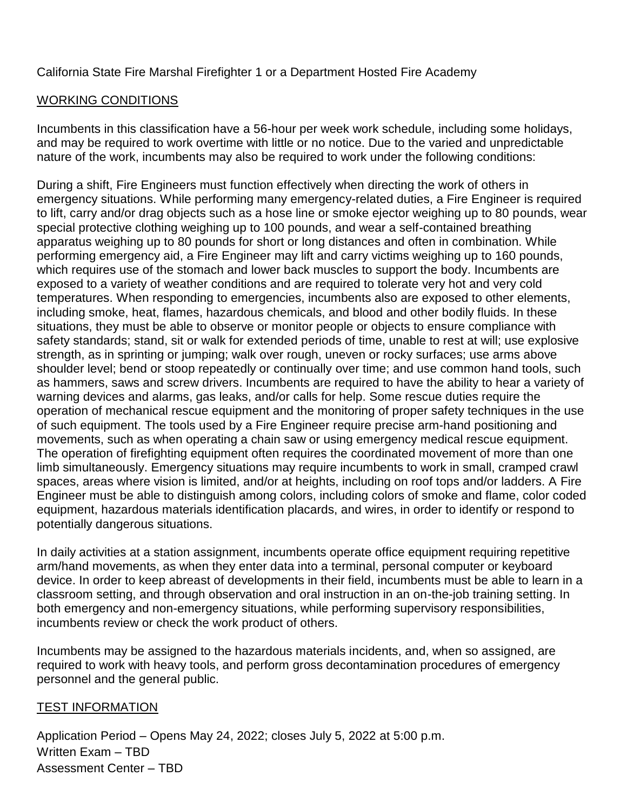California State Fire Marshal Firefighter 1 or a Department Hosted Fire Academy

## WORKING CONDITIONS

Incumbents in this classification have a 56-hour per week work schedule, including some holidays, and may be required to work overtime with little or no notice. Due to the varied and unpredictable nature of the work, incumbents may also be required to work under the following conditions:

During a shift, Fire Engineers must function effectively when directing the work of others in emergency situations. While performing many emergency-related duties, a Fire Engineer is required to lift, carry and/or drag objects such as a hose line or smoke ejector weighing up to 80 pounds, wear special protective clothing weighing up to 100 pounds, and wear a self-contained breathing apparatus weighing up to 80 pounds for short or long distances and often in combination. While performing emergency aid, a Fire Engineer may lift and carry victims weighing up to 160 pounds, which requires use of the stomach and lower back muscles to support the body. Incumbents are exposed to a variety of weather conditions and are required to tolerate very hot and very cold temperatures. When responding to emergencies, incumbents also are exposed to other elements, including smoke, heat, flames, hazardous chemicals, and blood and other bodily fluids. In these situations, they must be able to observe or monitor people or objects to ensure compliance with safety standards; stand, sit or walk for extended periods of time, unable to rest at will; use explosive strength, as in sprinting or jumping; walk over rough, uneven or rocky surfaces; use arms above shoulder level; bend or stoop repeatedly or continually over time; and use common hand tools, such as hammers, saws and screw drivers. Incumbents are required to have the ability to hear a variety of warning devices and alarms, gas leaks, and/or calls for help. Some rescue duties require the operation of mechanical rescue equipment and the monitoring of proper safety techniques in the use of such equipment. The tools used by a Fire Engineer require precise arm-hand positioning and movements, such as when operating a chain saw or using emergency medical rescue equipment. The operation of firefighting equipment often requires the coordinated movement of more than one limb simultaneously. Emergency situations may require incumbents to work in small, cramped crawl spaces, areas where vision is limited, and/or at heights, including on roof tops and/or ladders. A Fire Engineer must be able to distinguish among colors, including colors of smoke and flame, color coded equipment, hazardous materials identification placards, and wires, in order to identify or respond to potentially dangerous situations.

In daily activities at a station assignment, incumbents operate office equipment requiring repetitive arm/hand movements, as when they enter data into a terminal, personal computer or keyboard device. In order to keep abreast of developments in their field, incumbents must be able to learn in a classroom setting, and through observation and oral instruction in an on-the-job training setting. In both emergency and non-emergency situations, while performing supervisory responsibilities, incumbents review or check the work product of others.

Incumbents may be assigned to the hazardous materials incidents, and, when so assigned, are required to work with heavy tools, and perform gross decontamination procedures of emergency personnel and the general public.

#### TEST INFORMATION

Application Period – Opens May 24, 2022; closes July 5, 2022 at 5:00 p.m. Written Exam – TBD Assessment Center – TBD